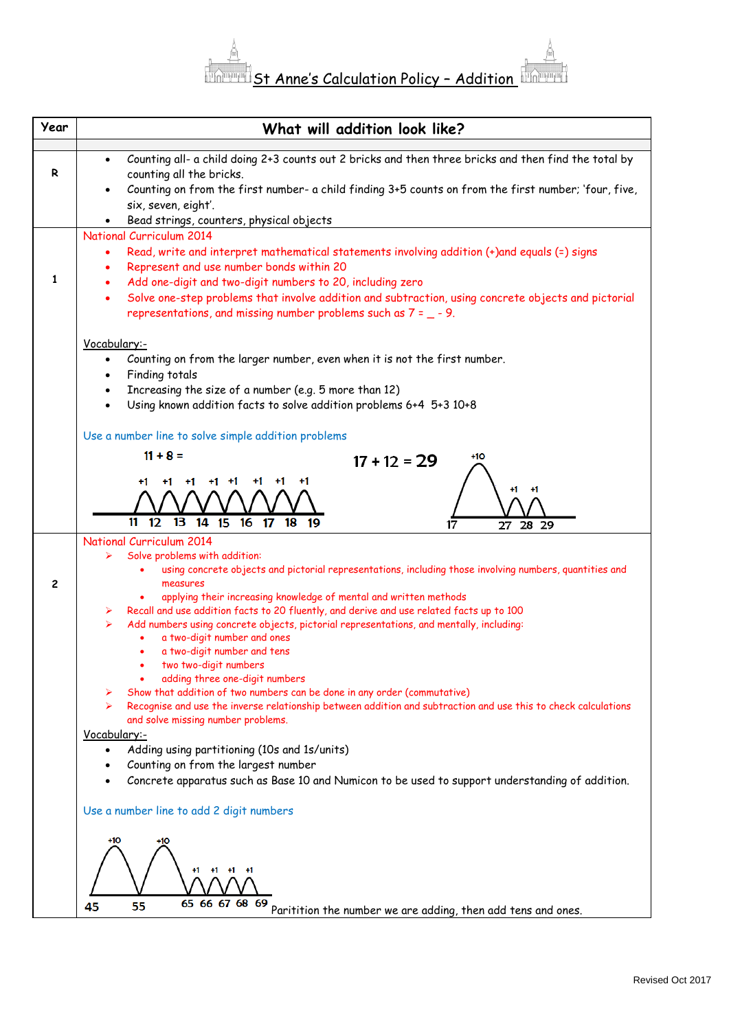

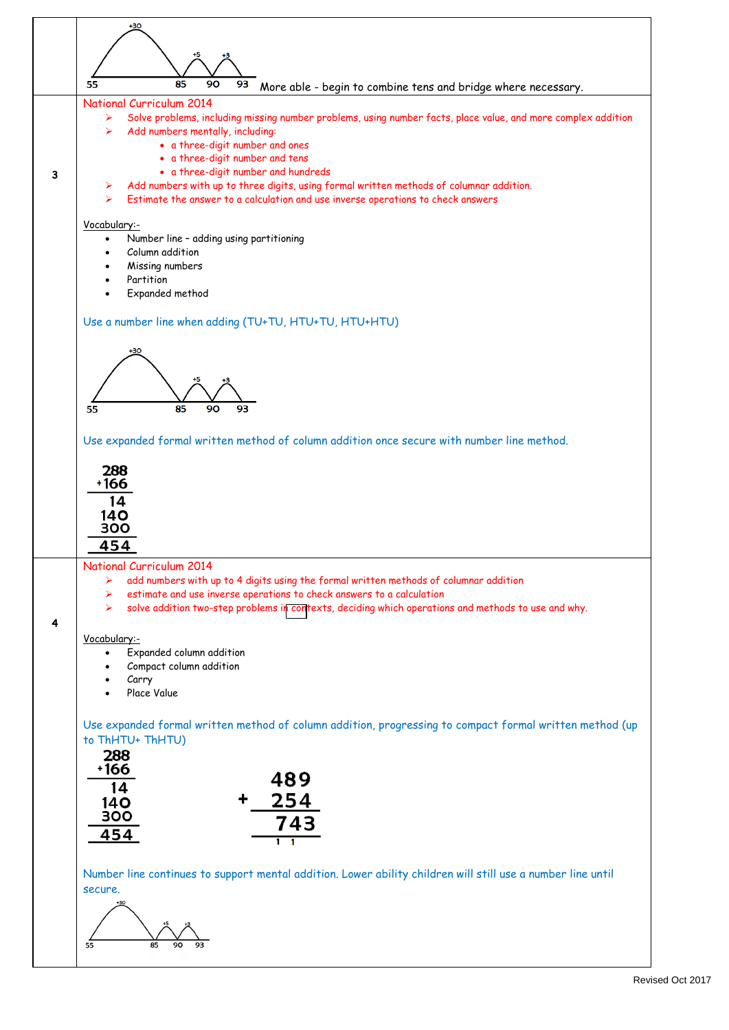